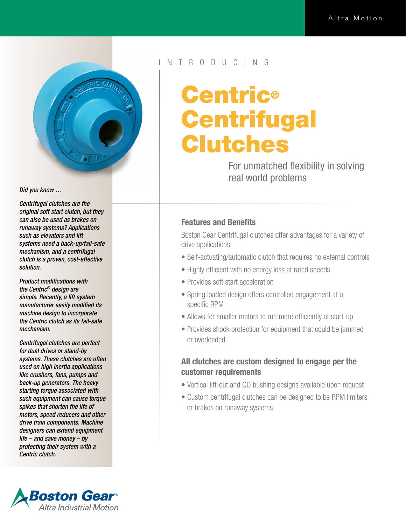

*Did you know …* 

*Centrifugal clutches are the original soft start clutch, but they can also be used as brakes on runaway systems? Applications such as elevators and lift systems need a back-up/fail-safe mechanism, and a centrifugal clutch is a proven, cost-effective solution.*

*Product modifications with the Centric® design are simple. Recently, a lift system manufacturer easily modified its machine design to incorporate the Centric clutch as its fail-safe mechanism.*

*Centrifugal clutches are perfect for dual drives or stand-by systems. These clutches are often used on high inertia applications like crushers, fans, pumps and back-up generators. The heavy starting torque associated with such equipment can cause torque spikes that shorten the life of motors, speed reducers and other drive train components. Machine designers can extend equipment life – and save money – by protecting their system with a Centric clutch.*



#### N T R O D U C I N G

# Centric® **Centrifugal** Clutches

For unmatched flexibility in solving real world problems

#### Features and Benefits

Boston Gear Centrifugal clutches offer advantages for a variety of drive applications:

- Self-actuating/automatic clutch that requires no external controls
- Highly efficient with no energy loss at rated speeds
- Provides soft start acceleration
- Spring loaded design offers controlled engagement at a specific RPM
- Allows for smaller motors to run more efficiently at start-up
- Provides shock protection for equipment that could be jammed or overloaded

### All clutches are custom designed to engage per the customer requirements

- Vertical lift-out and QD bushing designs available upon request
- Custom centrifugal clutches can be designed to be RPM limiters or brakes on runaway systems